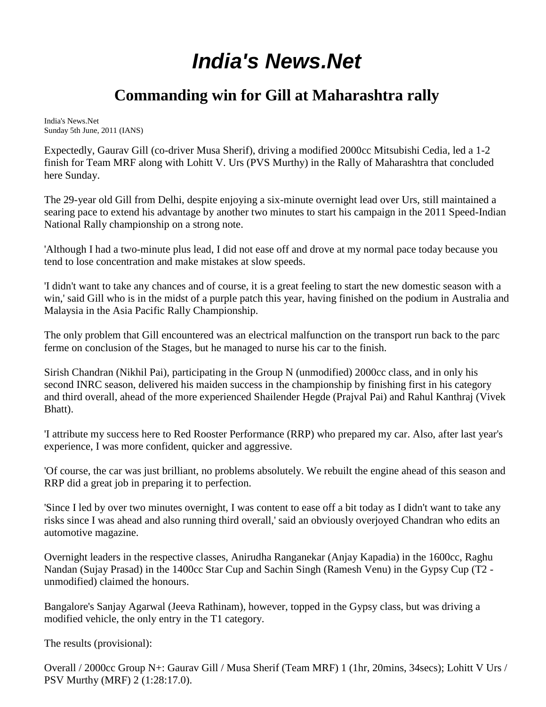## *[India's News.Net](http://www.indiasnews.net/)*

## **Commanding win for Gill at Maharashtra rally**

India's News.Net Sunday 5th June, 2011 (IANS)

Expectedly, Gaurav Gill (co-driver Musa Sherif), driving a modified 2000cc Mitsubishi Cedia, led a 1-2 finish for Team MRF along with Lohitt V. Urs (PVS Murthy) in the Rally of Maharashtra that concluded here Sunday.

The 29-year old Gill from Delhi, despite enjoying a six-minute overnight lead over Urs, still maintained a searing pace to extend his advantage by another two minutes to start his campaign in the 2011 Speed-Indian National Rally championship on a strong note.

'Although I had a two-minute plus lead, I did not ease off and drove at my normal pace today because you tend to lose concentration and make mistakes at slow speeds.

'I didn't want to take any chances and of course, it is a great feeling to start the new domestic season with a win,' said Gill who is in the midst of a purple patch this year, having finished on the podium in Australia and Malaysia in the Asia Pacific Rally Championship.

The only problem that Gill encountered was an electrical malfunction on the transport run back to the parc ferme on conclusion of the Stages, but he managed to nurse his car to the finish.

Sirish Chandran (Nikhil Pai), participating in the Group N (unmodified) 2000cc class, and in only his second INRC season, delivered his maiden success in the championship by finishing first in his category and third overall, ahead of the more experienced Shailender Hegde (Prajval Pai) and Rahul Kanthraj (Vivek Bhatt).

'I attribute my success here to Red Rooster Performance (RRP) who prepared my car. Also, after last year's experience, I was more confident, quicker and aggressive.

'Of course, the car was just brilliant, no problems absolutely. We rebuilt the engine ahead of this season and RRP did a great job in preparing it to perfection.

'Since I led by over two minutes overnight, I was content to ease off a bit today as I didn't want to take any risks since I was ahead and also running third overall,' said an obviously overjoyed Chandran who edits an automotive magazine.

Overnight leaders in the respective classes, Anirudha Ranganekar (Anjay Kapadia) in the 1600cc, Raghu Nandan (Sujay Prasad) in the 1400cc Star Cup and Sachin Singh (Ramesh Venu) in the Gypsy Cup (T2 unmodified) claimed the honours.

Bangalore's Sanjay Agarwal (Jeeva Rathinam), however, topped in the Gypsy class, but was driving a modified vehicle, the only entry in the T1 category.

The results (provisional):

Overall / 2000cc Group N+: Gaurav Gill / Musa Sherif (Team MRF) 1 (1hr, 20mins, 34secs); Lohitt V Urs / PSV Murthy (MRF) 2 (1:28:17.0).